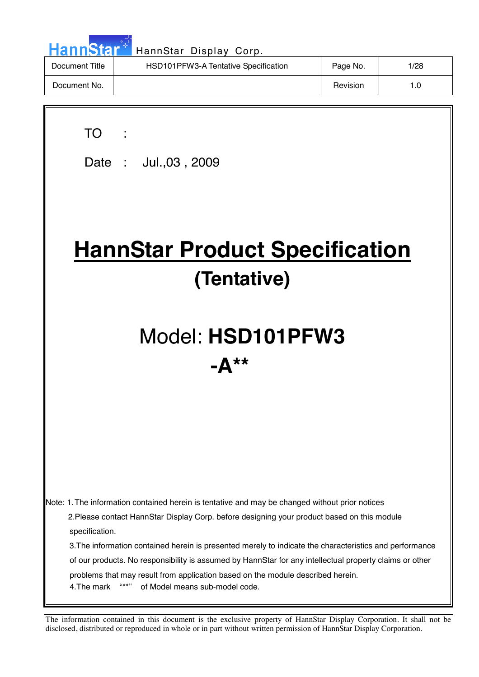| <b>HannStart</b> | HannStar Display Corp.               |          |      |
|------------------|--------------------------------------|----------|------|
| Document Title   | HSD101PFW3-A Tentative Specification | Page No. | 1/28 |
| Document No.     |                                      | Revision | 1.0  |

| <b>TO</b><br>Date: Jul., 03, 2009                                                                                                                                                                                                                                                                                                                                                                                                                                                                                                                                                         |  |  |  |  |  |  |
|-------------------------------------------------------------------------------------------------------------------------------------------------------------------------------------------------------------------------------------------------------------------------------------------------------------------------------------------------------------------------------------------------------------------------------------------------------------------------------------------------------------------------------------------------------------------------------------------|--|--|--|--|--|--|
| <b>HannStar Product Specification</b><br>(Tentative)                                                                                                                                                                                                                                                                                                                                                                                                                                                                                                                                      |  |  |  |  |  |  |
| Model: HSD101PFW3<br>$-{\bf A}^{\star\star}$                                                                                                                                                                                                                                                                                                                                                                                                                                                                                                                                              |  |  |  |  |  |  |
|                                                                                                                                                                                                                                                                                                                                                                                                                                                                                                                                                                                           |  |  |  |  |  |  |
| Note: 1. The information contained herein is tentative and may be changed without prior notices<br>2. Please contact HannStar Display Corp. before designing your product based on this module<br>specification.<br>3. The information contained herein is presented merely to indicate the characteristics and performance<br>of our products. No responsibility is assumed by HannStar for any intellectual property claims or other<br>problems that may result from application based on the module described herein.<br>$(6 + + 2)$<br>4. The mark<br>of Model means sub-model code. |  |  |  |  |  |  |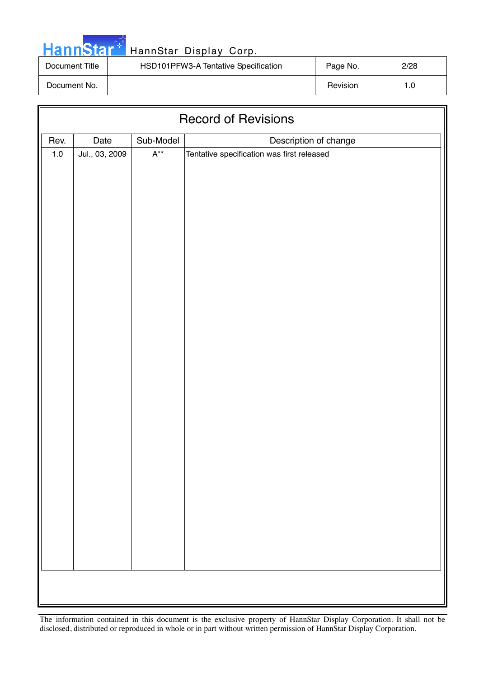

| Document Title | HSD101PFW3-A Tentative Specification | Page No. | 2/28 |
|----------------|--------------------------------------|----------|------|
| Document No.   |                                      | Revision |      |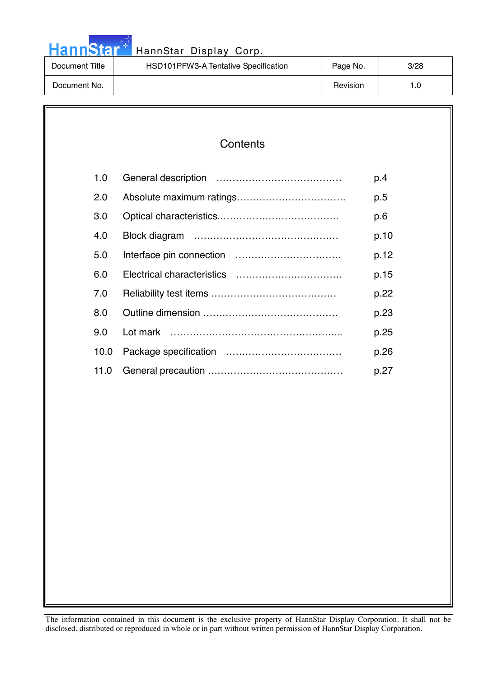|  |  | <b>HannStar</b> |  |
|--|--|-----------------|--|
|  |  |                 |  |

### HannStar Display Corp.

| Document Title | HSD101PFW3-A Tentative Specification | Page No. | 3/28 |
|----------------|--------------------------------------|----------|------|
| Document No.   |                                      | Revision | . .0 |

| 1.0  | p.4  |
|------|------|
| 2.0  | p.5  |
| 3.0  | p.6  |
| 4.0  | p.10 |
| 5.0  | p.12 |
| 6.0  | p.15 |
| 7.0  | p.22 |
| 8.0  | p.23 |
| 9.0  | p.25 |
| 10.0 | p.26 |
| 11.0 | p.27 |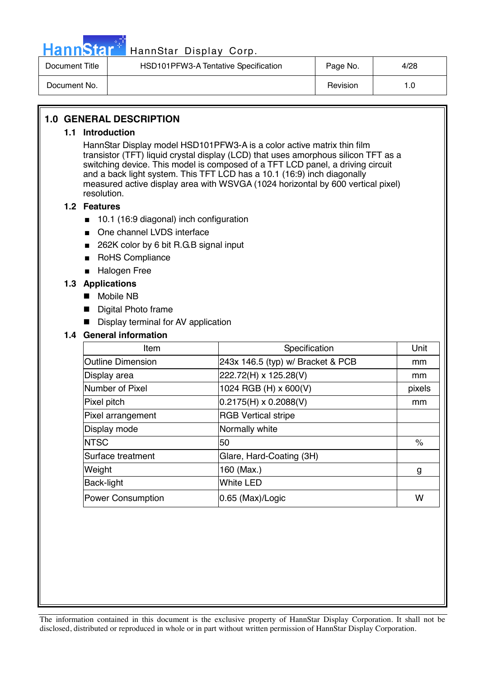

| Document Title | HSD101PFW3-A Tentative Specification | Page No. | 4/28 |
|----------------|--------------------------------------|----------|------|
| Document No.   |                                      | Revision |      |

### **1.0 GENERAL DESCRIPTION**

### **1.1 Introduction**

HannStar Display model HSD101PFW3-A is a color active matrix thin film transistor (TFT) liquid crystal display (LCD) that uses amorphous silicon TFT as a switching device. This model is composed of a TFT LCD panel, a driving circuit and a back light system. This TFT LCD has a 10.1 (16:9) inch diagonally measured active display area with WSVGA (1024 horizontal by 600 vertical pixel) resolution.

### **1.2 Features**

- 10.1 (16:9 diagonal) inch configuration
- One channel LVDS interface
- 262K color by 6 bit R.G.B signal input
- RoHS Compliance
- Halogen Free

#### **1.3 Applications**

- Mobile NB
- **Digital Photo frame**
- **Display terminal for AV application**

### **1.4 General information**

| Item                     | Specification                     | Unit   |
|--------------------------|-----------------------------------|--------|
| <b>Outline Dimension</b> | 243x 146.5 (typ) w/ Bracket & PCB | mm     |
| Display area             | 222.72(H) x 125.28(V)             | mm     |
| Number of Pixel          | 1024 RGB (H) x 600(V)             | pixels |
| Pixel pitch              | $0.2175(H) \times 0.2088(V)$      | mm     |
| Pixel arrangement        | <b>RGB Vertical stripe</b>        |        |
| Display mode             | Normally white                    |        |
| <b>NTSC</b>              | 50                                | $\%$   |
| Surface treatment        | Glare, Hard-Coating (3H)          |        |
| Weight                   | 160 (Max.)                        | g      |
| <b>Back-light</b>        | <b>White LED</b>                  |        |
| <b>Power Consumption</b> | 0.65 (Max)/Logic                  | W      |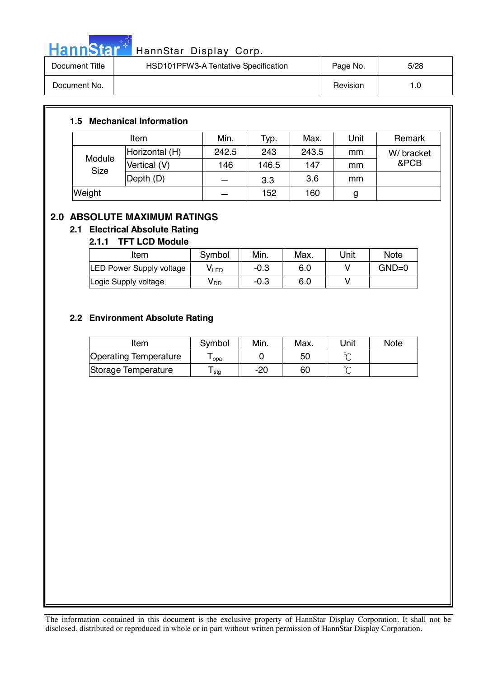

# HannStar<sup>t HannStar Display Corp.</sup>

| Document Title | HSD101PFW3-A Tentative Specification | Page No. | 5/28 |
|----------------|--------------------------------------|----------|------|
| Document No.   |                                      | Revision | 1.0  |

### **1.5 Mechanical Information**

| Item                  |                | Min.  | Typ.  | Max.  | Unit | Remark     |
|-----------------------|----------------|-------|-------|-------|------|------------|
|                       | Horizontal (H) | 242.5 | 243   | 243.5 | mm   | W/ bracket |
| Module<br><b>Size</b> | Vertical (V)   | 146   | 146.5 | 147   | mm   | &PCB       |
|                       | Depth (D)      |       | 3.3   | 3.6   | mm   |            |
| Weight                |                |       | 152   | 160   | g    |            |

### **2.0 ABSOLUTE MAXIMUM RATINGS**

### **2.1 Electrical Absolute Rating**

### **2.1.1 TFT LCD Module**

| Item                            | Symbol | Min.   | Max. | Unit | <b>Note</b> |
|---------------------------------|--------|--------|------|------|-------------|
| <b>LED Power Supply voltage</b> | V LED  | $-0.3$ | 6.0  |      | $GND=0$     |
| Logic Supply voltage            | V DD   | $-0.3$ | 6.0  |      |             |

### **2.2 Environment Absolute Rating**

| Item                         | Symbol | Min.  | Max. | Unit   | <b>Note</b> |
|------------------------------|--------|-------|------|--------|-------------|
| <b>Operating Temperature</b> | opa    |       | 50   | $\sim$ |             |
| Storage Temperature          | l stg  | $-20$ | 60   | $\sim$ |             |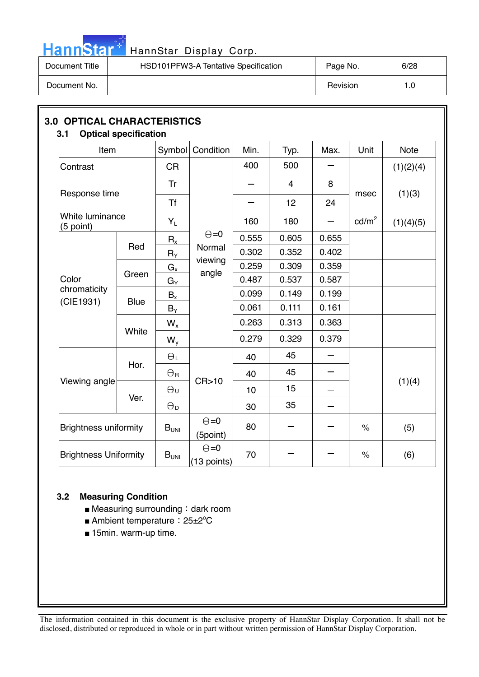

# HannStar<sup>t HannStar Display Corp.</sup>

| Document Title | HSD101PFW3-A Tentative Specification | Page No. | 6/28 |
|----------------|--------------------------------------|----------|------|
| Document No.   |                                      | Revision | 1.0  |

| Item                           |             |                       | Symbol Condition            | Min.                           | Typ.           | Max.  | Unit              | <b>Note</b> |  |
|--------------------------------|-------------|-----------------------|-----------------------------|--------------------------------|----------------|-------|-------------------|-------------|--|
| Contrast                       |             | <b>CR</b>             |                             | 400                            | 500            |       |                   | (1)(2)(4)   |  |
| Response time                  |             | Tr                    |                             |                                | $\overline{4}$ | 8     |                   |             |  |
|                                |             | <b>Tf</b>             |                             |                                | 12             | 24    | msec              | (1)(3)      |  |
| White luminance<br>$(5$ point) |             | $Y_L$                 |                             | 160                            | 180            |       | cd/m <sup>2</sup> | (1)(4)(5)   |  |
|                                |             | $R_{x}$               |                             | $\Theta = 0$<br>0.555<br>0.605 | 0.655          |       |                   |             |  |
|                                | Red         | $R_Y$                 | Normal                      | 0.302                          | 0.352          | 0.402 |                   |             |  |
|                                |             | $G_{\underline{x}}$   | viewing<br>angle            | 0.259                          | 0.309          | 0.359 |                   |             |  |
| Color                          | Green       | $G_Y$                 |                             | 0.487                          | 0.537          | 0.587 |                   |             |  |
| chromaticity                   |             | $B_{x}$               |                             | 0.099                          | 0.149          | 0.199 |                   |             |  |
| (CIE1931)                      | <b>Blue</b> | $B_Y$                 |                             | 0.061                          | 0.111          | 0.161 |                   |             |  |
|                                | White       | $W_{x}$               |                             | 0.263                          | 0.313          | 0.363 |                   |             |  |
|                                |             | $W_{y}$               |                             | 0.279                          | 0.329          | 0.379 |                   |             |  |
|                                | Hor.        | $\Theta_L$            |                             | 40                             | 45             |       |                   |             |  |
|                                |             | $\Theta_{\rm R}$      |                             | 40                             | 45             |       |                   |             |  |
| Viewing angle                  |             | $\Theta_{\sf U}$      | CR > 10                     | 10                             | 15             |       |                   | (1)(4)      |  |
|                                | Ver.        | $\Theta_{\mathsf{D}}$ |                             | 30                             | 35             |       |                   |             |  |
| <b>Brightness uniformity</b>   |             | $B_{UNI}$             | $\Theta = 0$<br>(5point)    | 80                             |                |       | $\%$              | (5)         |  |
| <b>Brightness Uniformity</b>   |             | B <sub>UNI</sub>      | $\Theta = 0$<br>(13 points) | 70                             |                |       | $\%$              | (6)         |  |

### **3.2 Measuring Condition**

- Measuring surrounding : dark room
- Ambient temperature: 25±2°C
- 15min. warm-up time.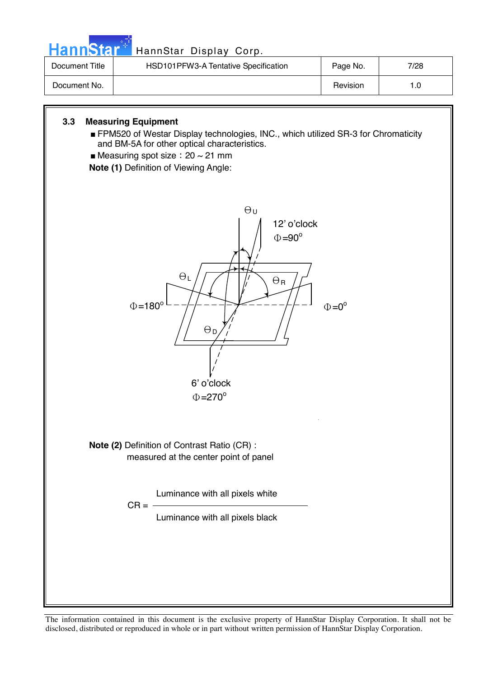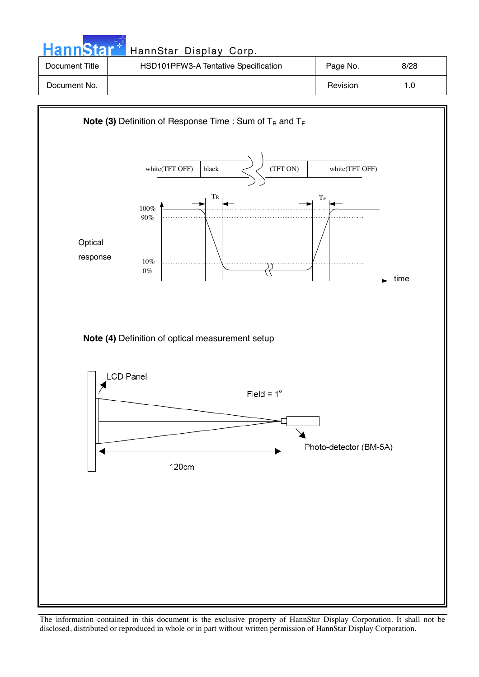**Hann**Star HannStar Display Corp. Document Title | HSD101PFW3-A Tentative Specification | Page No. | 8/28 Document No. | Nevision | New 1.0

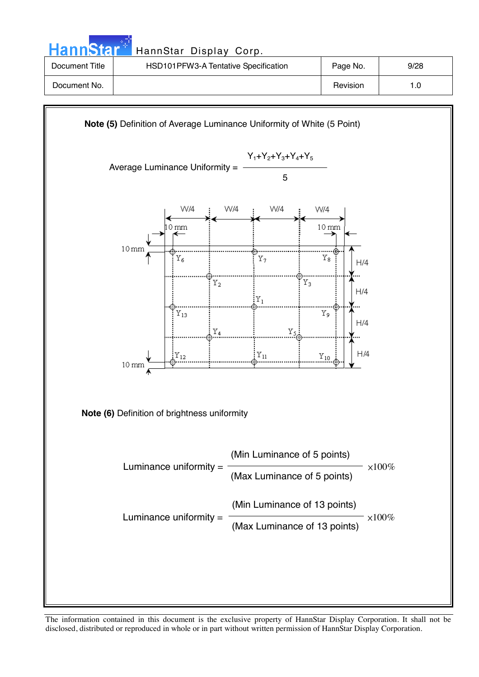

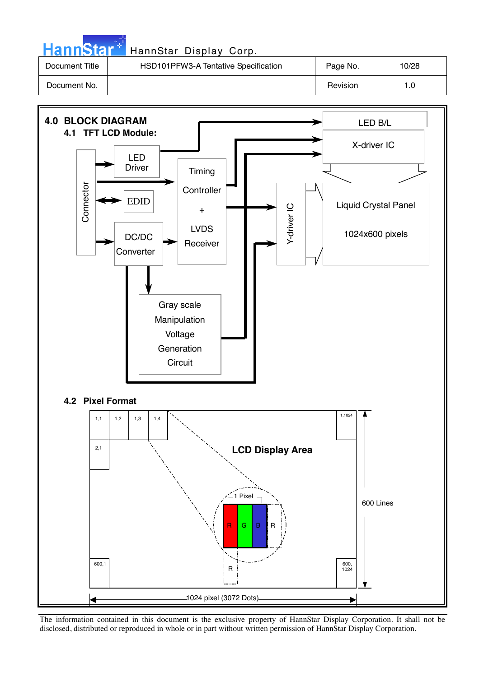| <b>HannStar</b> | HannStar Display Corp.               |          |       |
|-----------------|--------------------------------------|----------|-------|
| Document Title  | HSD101PFW3-A Tentative Specification | Page No. | 10/28 |
| Document No.    |                                      | Revision | 1.0   |

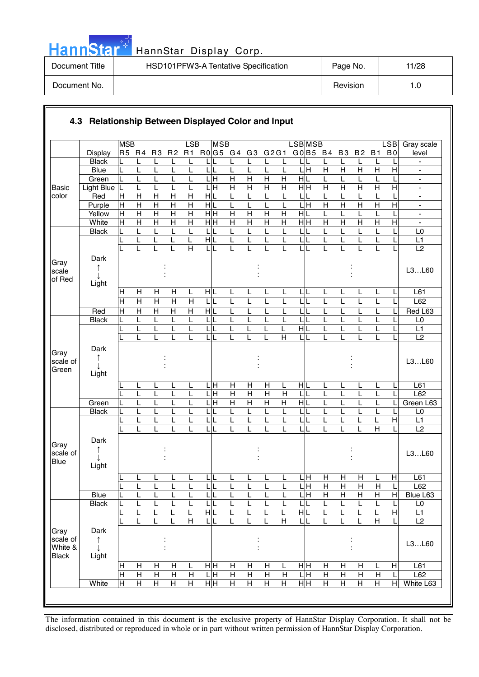|  |  | <b>HannStar</b> |  |
|--|--|-----------------|--|
|  |  |                 |  |
|  |  |                 |  |

### HannStar Display Corp.

| Document Title | HSD101PFW3-A Tentative Specification | Page No. | 11/28 |
|----------------|--------------------------------------|----------|-------|
| Document No.   |                                      | Revision | 1.0   |

|                                             |                         | <b>MSB</b>          |                                         |                                         |                         | LSB                          |                                              | <b>MSB</b>          |                     |                     |                         | <b>LSB</b> MSB          |               |                     |                              |                           |                         | <b>LSB</b>     | Gray scale                       |
|---------------------------------------------|-------------------------|---------------------|-----------------------------------------|-----------------------------------------|-------------------------|------------------------------|----------------------------------------------|---------------------|---------------------|---------------------|-------------------------|-------------------------|---------------|---------------------|------------------------------|---------------------------|-------------------------|----------------|----------------------------------|
|                                             | Display                 | R5 R4               |                                         | R <sub>3</sub>                          |                         |                              |                                              | R2 R1 R0 G5 G4 G3   |                     | G2G1                |                         |                         |               | G0 B5 B4            | B <sub>3</sub>               | B <sub>2</sub>            | <b>B1</b>               | B <sub>0</sub> | level                            |
|                                             | <b>Black</b>            |                     | L                                       | L                                       | L                       |                              |                                              | L                   |                     | L                   | L                       | L                       |               |                     | L                            | L                         | L                       |                |                                  |
|                                             | <b>Blue</b>             | L                   | L                                       | L                                       | L                       | L                            | LIL                                          | L                   | L                   | L                   | L                       | $\overline{\mathbf{H}}$ |               | $\overline{H}$      | $\overline{H}$               | $\overline{H}$            | $\overline{\mathsf{H}}$ | $\overline{H}$ | $\blacksquare$                   |
|                                             | Green                   | L                   | L                                       | L                                       | L                       | L                            | Ξ<br>L                                       | $\overline{H}$      | $\overline{H}$      | $\overline{H}$      | $\overline{\mathsf{H}}$ | $\overline{H}$          |               | L                   | L                            | L                         | L                       |                | $\blacksquare$                   |
| <b>Basic</b>                                | Light Blue              | L                   | L                                       | L                                       | L                       | L                            | Ξ                                            | $\overline{H}$      | $\overline{H}$      | Н                   | $\overline{H}$          | $\overline{H}$ H        |               | H                   | $\overline{H}$               | $\overline{H}$            | $\overline{H}$          | $\overline{H}$ | $\blacksquare$                   |
| color                                       | Red                     | Н<br>$\overline{H}$ | $\mathsf{H}$<br>$\overline{\mathsf{H}}$ | $\mathsf{H}$<br>$\overline{\mathsf{H}}$ | H<br>$\overline{H}$     | Н<br>$\overline{\mathsf{H}}$ | HL                                           | L                   | L                   | L                   | L                       | L<br>LН                 | L             | L<br>$\overline{H}$ | L<br>$\overline{\mathsf{H}}$ | L<br>$\overline{H}$       | L<br>$\overline{H}$     | $\overline{H}$ | $\blacksquare$                   |
|                                             | Purple<br>Yellow        | H                   | $\overline{H}$                          | $\overline{\mathsf{H}}$                 | $\overline{\mathsf{H}}$ | $\overline{H}$               | $\frac{1}{\sqrt{2}}$<br>$\frac{}{\mathbf H}$ | L<br>$\overline{H}$ | L<br>$\overline{H}$ | L<br>$\overline{H}$ | L<br>$\overline{H}$     | HL                      |               | L                   | L                            | L                         | L                       |                | $\blacksquare$<br>$\blacksquare$ |
|                                             | White                   | $\mathsf{H}$        | $\overline{H}$                          | $\overline{H}$                          | $\overline{H}$          | $\overline{H}$               | нŀн                                          | $\overline{H}$      | $\overline{H}$      | $\overline{H}$      | $\overline{H}$          | $\overline{H}$ H        |               | $\overline{H}$      | $\overline{H}$               | $\overline{H}$            | $\overline{H}$          | H              | $\blacksquare$                   |
|                                             | <b>Black</b>            |                     |                                         | L                                       |                         |                              | LIL                                          | L                   |                     | L                   | L                       | L                       |               |                     |                              | L                         |                         |                | L <sub>0</sub>                   |
|                                             |                         |                     | L                                       | L                                       | L                       | L                            | HL                                           | L                   | L                   | L                   | L                       | $\mathsf L$             |               | L                   | L                            | L                         | L                       |                | L1                               |
|                                             |                         |                     |                                         |                                         | L                       | $\overline{H}$               | LIL                                          | L                   |                     | L                   | L                       | LL                      |               |                     |                              | L                         | L                       |                | L2                               |
| Gray<br>scale<br>of Red                     | Dark<br>↑<br>T<br>Light |                     |                                         |                                         |                         |                              |                                              |                     |                     |                     |                         |                         |               |                     |                              |                           |                         |                | L3L60                            |
|                                             |                         | H                   | H                                       | $\mathsf{H}$                            | Н                       | L                            | HIL                                          | L                   | L                   | L                   | L                       | LL                      |               | L                   | L                            | L                         | L                       |                | L61                              |
|                                             |                         | H                   | $\overline{H}$                          | $\overline{H}$                          | $\overline{H}$          | H                            | LIL                                          | L                   | L                   | L                   | L                       | ГL                      |               | L                   | L                            | L                         | L                       |                | L62                              |
|                                             | Red                     | H                   | $\overline{H}$                          | $\overline{H}$                          | $\overline{H}$          | $\overline{H}$               | $\frac{1}{\sqrt{2}}$                         | L                   |                     | L                   | L                       | LL                      |               | L                   | L                            | L                         | L                       |                | Red L63                          |
|                                             | <b>Black</b>            | L                   |                                         | L                                       | L                       | L                            | LIL                                          | L                   | L                   | L                   | L                       | $L$ $L$                 |               | L                   | L                            | L                         | L                       |                | L <sub>0</sub>                   |
|                                             |                         |                     |                                         | L                                       |                         |                              | LIL                                          | L                   |                     |                     | L                       | HIL                     |               |                     |                              | L                         |                         |                | L1                               |
|                                             |                         |                     |                                         |                                         |                         |                              | ЦL                                           | L                   |                     |                     | $\overline{H}$          | L                       |               |                     |                              | L                         |                         |                | $\overline{L2}$                  |
| Gray<br>scale of<br>Green                   | Dark<br>↑<br>Light      |                     |                                         |                                         |                         |                              |                                              |                     |                     |                     |                         |                         |               |                     |                              |                           |                         |                | L3L60                            |
|                                             |                         |                     |                                         |                                         |                         |                              | ļН                                           | H                   | H                   | H                   | L                       | HL                      |               |                     |                              | L                         |                         |                | L61                              |
|                                             |                         |                     | L                                       | L                                       | L                       | L                            | LН                                           | $\overline{H}$      | $\overline{H}$      | $\overline{H}$      | H                       | L                       |               | L                   | L                            | L                         |                         |                | L62                              |
|                                             | Green                   |                     |                                         | L                                       |                         | L                            | 듴                                            | $\overline{H}$      | $\overline{H}$      | $\overline{H}$      | $\overline{H}$          | H L                     |               | L                   | L                            | L                         | L                       |                | Green L63                        |
|                                             | <b>Black</b>            |                     |                                         | L                                       |                         | L                            | LIL                                          | L                   | L                   | L                   | L                       | $L$ $L$                 |               | L                   | $\mathsf{I}$                 | L                         | Ĺ                       |                | L <sub>0</sub>                   |
|                                             |                         |                     |                                         | L                                       |                         |                              | L                                            | L                   |                     | L                   | L                       | ЦL                      |               |                     |                              | L                         |                         | $\overline{H}$ | L <sub>1</sub>                   |
| Gray<br>scale of<br><b>Blue</b>             | Dark<br>↑               |                     |                                         |                                         |                         |                              | īΓ                                           | L                   |                     | L                   | L                       | L                       |               |                     |                              | L                         | $\overline{\mathsf{H}}$ |                | L2<br>L3L60                      |
|                                             | Light                   |                     |                                         |                                         |                         |                              |                                              |                     |                     |                     |                         |                         |               |                     |                              |                           |                         |                |                                  |
|                                             |                         |                     | ┕                                       | ┕                                       | ┕                       | ட                            | 니니                                           | ┕                   | ┕                   | ட                   | ┕                       | LН                      |               | Н                   | H                            | $\mathsf{H}$              | ┕                       | H              | L61                              |
|                                             |                         | L                   | L                                       | L                                       | L                       | L                            | LL                                           | L                   | L                   | L                   | L                       | LН                      |               | $\overline{H}$      | $\mathsf{H}$                 | H                         | H                       | L              | L62                              |
|                                             | Blue                    |                     | L                                       | L                                       |                         |                              | LIL                                          | L                   |                     | L                   | L                       |                         | $\frac{1}{2}$ | Н                   | Н                            | $\boldsymbol{\mathsf{H}}$ | Н                       | H              | Blue L63                         |
|                                             | <b>Black</b>            |                     |                                         | L                                       |                         |                              | LL                                           | L                   |                     | L                   | L                       | L                       |               |                     | L                            | L                         |                         |                | L0                               |
|                                             |                         |                     | L                                       | L                                       | L                       | L                            | $\frac{1}{\sqrt{2}}$                         | L                   |                     | L                   | L                       | H L                     |               | L                   |                              | L                         | L                       | $\mathsf{H}$   | L1                               |
|                                             |                         |                     | L                                       | L                                       | L                       | $\overline{H}$               | ЦL                                           | L                   | L                   |                     | $\overline{\mathsf{H}}$ | LL                      |               | L                   | L                            | L                         | $\overline{H}$          | L              | $\overline{L2}$                  |
| Gray<br>scale of<br>White &<br><b>Black</b> | Dark<br>↑<br>T<br>Light |                     |                                         |                                         |                         |                              |                                              |                     |                     |                     |                         |                         |               |                     |                              |                           |                         |                | L3L60                            |
|                                             |                         | Н                   | H                                       | H                                       | Н                       | L                            | нH                                           | H                   | H                   | H                   | L                       | HH                      |               | Н                   | Н                            | Н                         | L                       | Н              | L61                              |
|                                             |                         | Н                   | $\overline{H}$                          | $\overline{H}$                          | $\overline{H}$          | $\overline{H}$               | 믘                                            | $\overline{H}$      | $\overline{H}$      | $\overline{H}$      | $\overline{H}$          | 믘                       |               | $\overline{H}$      | $\overline{H}$               | $\overline{H}$            | H                       |                | L62                              |
|                                             | White                   | Н                   | Н                                       | $\overline{H}$                          | $\overline{H}$          | $\overline{H}$               | H H                                          | $\overline{H}$      | $\overline{H}$      | $\overline{H}$      | $\overline{\mathsf{H}}$ | H H                     |               | Н                   | H                            | $\overline{H}$            | $\overline{H}$          | H              | White L63                        |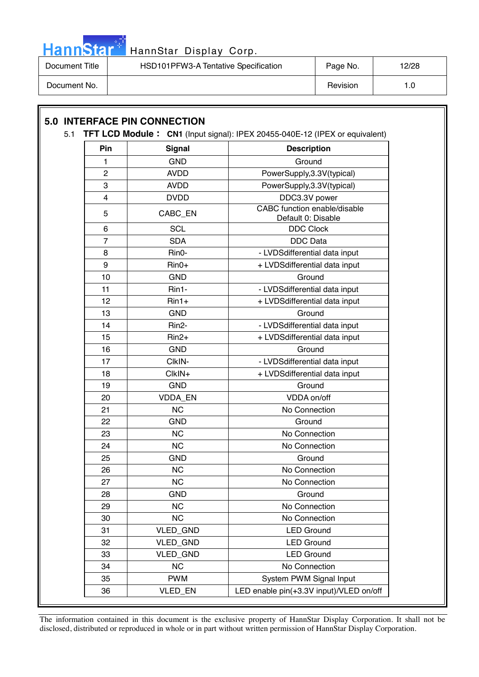

| Document Title | HSD101PFW3-A Tentative Specification | Page No. | 12/28 |
|----------------|--------------------------------------|----------|-------|
| Document No.   |                                      | Revision |       |

### **5.0 INTERFACE PIN CONNECTION**  5.1 **TFT LCD Module CN1** (Input signal): IPEX 20455-040E-12 (IPEX or equivalent) **Pin** Signal **Description** 1 GND 3 Ground 2 | AVDD | PowerSupply,3.3V(typical) 3 AVDD PowerSupply,3.3V(typical) 4 DVDD DOC3.3V power 5 CABC\_EN CABC\_tunction enable/disable Default 0: Disable 6 SCL DDC Clock 7 SDA DDC Data 8 | Rin0- | - LVDSdifferential data input 9 | Rin0+ | + LVDSdifferential data input 10 GND COND Cround 11 | Rin1- | - LVDSdifferential data input 12 | Rin1+ | + LVDSdifferential data input 13 GND GND Ground 14 | Rin2- | - LVDSdifferential data input 15 | Rin2+ | + LVDSdifferential data input 16 GND | Ground 17 | CIkIN- | CIkIN- | LVDSdifferential data input 18 | CIkIN+ + LVDSdifferential data input 19 GND COND Cround 20 VDDA EN 20 VDDA on/off 21 NC NC No Connection 22 GND COND Cround 23 NC No Connection 24 NC NC No Connection 25 GND COND Cround 26 NC NC No Connection 27 NC NC No Connection 28 GND COND Cround 29 | NC | No Connection 30 NC No Connection 31 | VLED GND | LED Ground 32 VLED GND | LED Ground 33 | VLED\_GND | LED Ground 34 NC NC No Connection

The information contained in this document is the exclusive property of HannStar Display Corporation. It shall not be disclosed, distributed or reproduced in whole or in part without written permission of HannStar Display Corporation.

36 VLED\_EN LED enable pin(+3.3V input)/VLED on/off

35 PWM System PWM Signal Input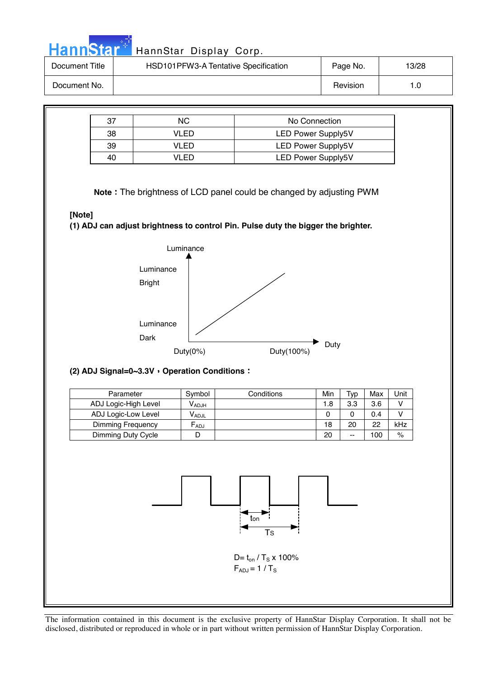| HannStar <sup>+</sup> | HannStar Display Corp.               |               |       |
|-----------------------|--------------------------------------|---------------|-------|
| Document Title        | HSD101PFW3-A Tentative Specification | Page No.      | 13/28 |
| Document No.          |                                      | Revision      | 1.0   |
|                       |                                      |               |       |
| $\sim$                | $\sim$                               | No Connection |       |

|    | NС    | No Connection             |
|----|-------|---------------------------|
| 38 | VI ED | <b>LED Power Supply5V</b> |
| 39 | /I FD | <b>LED Power Supply5V</b> |
| 40 | ו∟ וי | <b>LED Power Supply5V</b> |

**Note** The brightness of LCD panel could be changed by adjusting PWM

### **[Note]**

**(1) ADJ can adjust brightness to control Pin. Pulse duty the bigger the brighter.** 



### **(2) ADJ Signal=0~3.3V Operation Conditions**

| Parameter                | Symbol                       | Conditions | Min | Typ | Max | Unit |
|--------------------------|------------------------------|------------|-----|-----|-----|------|
| ADJ Logic-High Level     | $\mathsf{V}_{\mathsf{ADJH}}$ |            | 1.8 | 3.3 | 3.6 |      |
| ADJ Logic-Low Level      | <b>VADJL</b>                 |            | 0   |     | 0.4 |      |
| <b>Dimming Frequency</b> | $F_{ADJ}$                    |            | 18  | 20  | 22  | kHz  |
| Dimming Duty Cycle       |                              |            | 20  | --  | 100 | $\%$ |



 $F_{ADJ} = 1/T_S$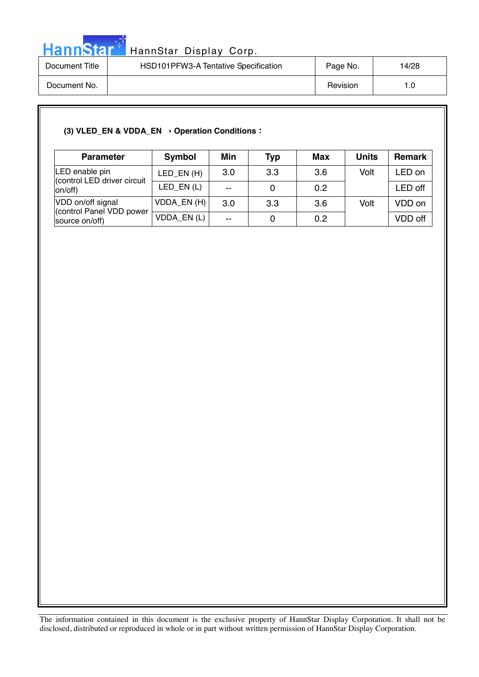

| Document Title | HSD101PFW3-A Tentative Specification | Page No. | 14/28 |
|----------------|--------------------------------------|----------|-------|
| Document No.   |                                      | Revision |       |

### (3) VLED\_EN & VDDA\_EN > Operation Conditions :

| <b>Parameter</b>                           | Symbol       | Min                      | <b>Typ</b> | <b>Max</b> | <b>Units</b> | <b>Remark</b> |
|--------------------------------------------|--------------|--------------------------|------------|------------|--------------|---------------|
| LED enable pin                             | LED EN $(H)$ | 3.0                      | 3.3        | 3.6        | Volt         | _ED on        |
| (control LED driver circuit<br>on/off)     | LED $EN(L)$  | $\overline{\phantom{a}}$ |            | 0.2        |              | LED off       |
| VDD on/off signal                          | VDDA_EN(H)   | 3.0                      | 3.3        | 3.6        | Volt         | VDD on        |
| (control Panel VDD power<br>source on/off) | VDDA_EN(L)   | $\sim$                   |            | 0.2        |              | VDD off       |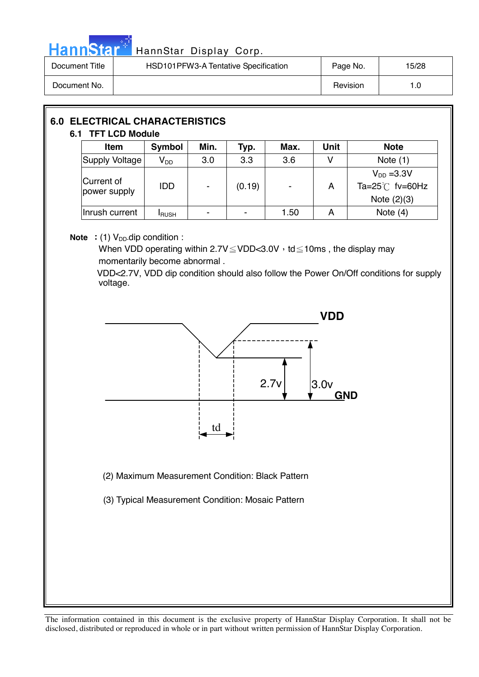

## Hann Star<sup>47</sup> HannStar Display Corp.

| Document Title | HSD101PFW3-A Tentative Specification | Page No. | 15/28 |
|----------------|--------------------------------------|----------|-------|
| Document No.   |                                      | Revision | l .O  |

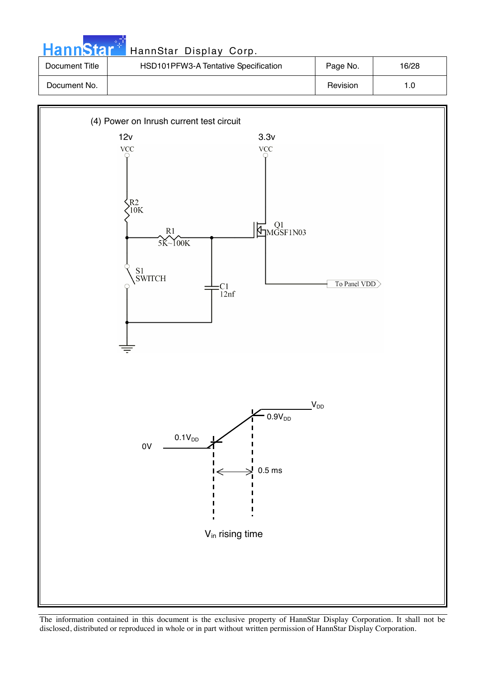

| Document Title | HSD101PFW3-A Tentative Specification | Page No. | 16/28 |
|----------------|--------------------------------------|----------|-------|
| Document No.   |                                      | Revision | 1.0   |

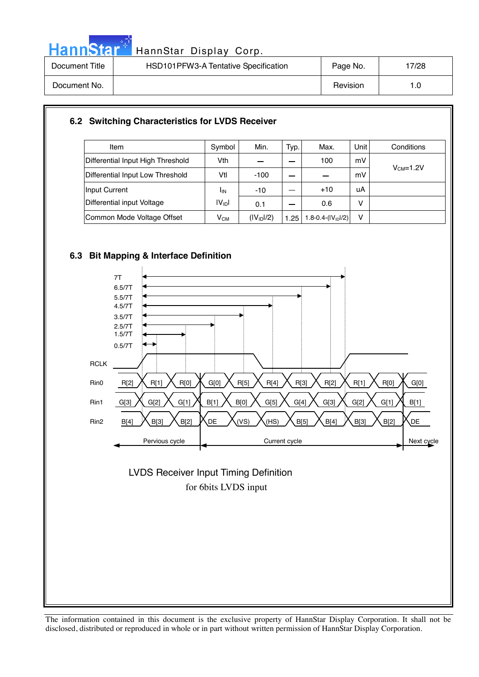

## HannStar<sup>t HannStar</sup> Display Corp.

| Document Title | HSD101PFW3-A Tentative Specification | Page No. | 7/28 |
|----------------|--------------------------------------|----------|------|
| Document No.   |                                      | Revision | I.C  |

### **6.2 Switching Characteristics for LVDS Receiver**

| Item                              | Symbol             | Min.                   | Typ. | Max.                 | Unit l | Conditions |
|-----------------------------------|--------------------|------------------------|------|----------------------|--------|------------|
| Differential Input High Threshold | Vth                |                        |      | 100                  | mV     |            |
| Differential Input Low Threshold  | Vtl                | $-100$                 |      |                      | mV     | $VCM=1.2V$ |
| Input Current                     | <b>I</b> IN        | $-10$                  |      | $+10$                | uA     |            |
| Differential input Voltage        | IV <sub>ID</sub> I | 0.1                    |      | 0.6                  | v      |            |
| Common Mode Voltage Offset        | $V_{CM}$           | (IV <sub>ID</sub> 1/2) | 1.25 | 1.8-0.4- $(IV1D1/2)$ | v      |            |

### **6.3 Bit Mapping & Interface Definition**



### for 6bits LVDS input LVDS Receiver Input Timing Definition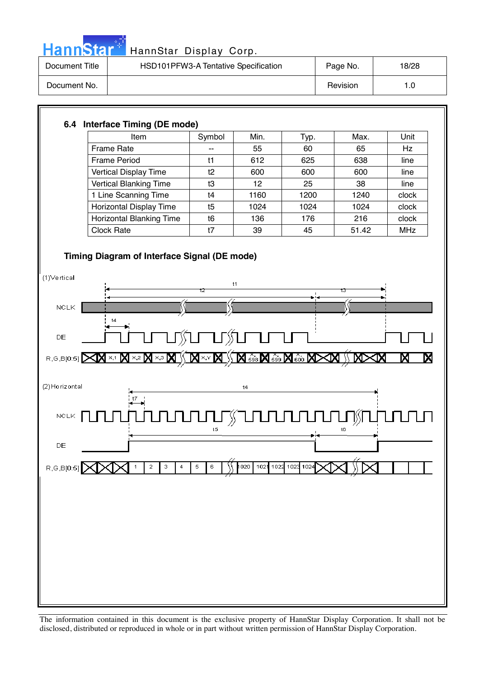

## HannStar<sup>#</sup> HannStar Display Corp.

| Document Title | HSD101PFW3-A Tentative Specification | Page No. | 18/28 |
|----------------|--------------------------------------|----------|-------|
| Document No.   |                                      | Revision | 1.0   |

### **6.4 Interface Timing (DE mode)**

| Item                            | Symbol | Min. | Typ. | Max.  | Unit       |
|---------------------------------|--------|------|------|-------|------------|
| Frame Rate                      | --     | 55   | 60   | 65    | <b>Hz</b>  |
| <b>Frame Period</b>             | t1     | 612  | 625  | 638   | line       |
| <b>Vertical Display Time</b>    | t2     | 600  | 600  | 600   | line       |
| <b>Vertical Blanking Time</b>   | t3     | 12   | 25   | 38    | line       |
| 1 Line Scanning Time            | t4     | 1160 | 1200 | 1240  | clock      |
| Horizontal Display Time         | t5     | 1024 | 1024 | 1024  | clock      |
| <b>Horizontal Blanking Time</b> | t6     | 136  | 176  | 216   | clock      |
| <b>Clock Rate</b>               | t7     | 39   | 45   | 51.42 | <b>MHz</b> |

### **Timing Diagram of Interface Signal (DE mode)**

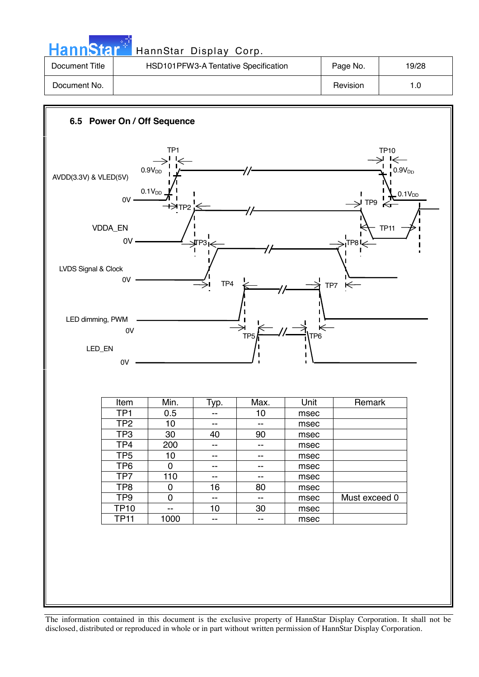| <b>HannStar</b> | HannStar Display Corp.               |          |       |
|-----------------|--------------------------------------|----------|-------|
| Document Title  | HSD101PFW3-A Tentative Specification | Page No. | 19/28 |
| Document No.    |                                      | Revision | 1.0   |

والمراجع والمتعاد

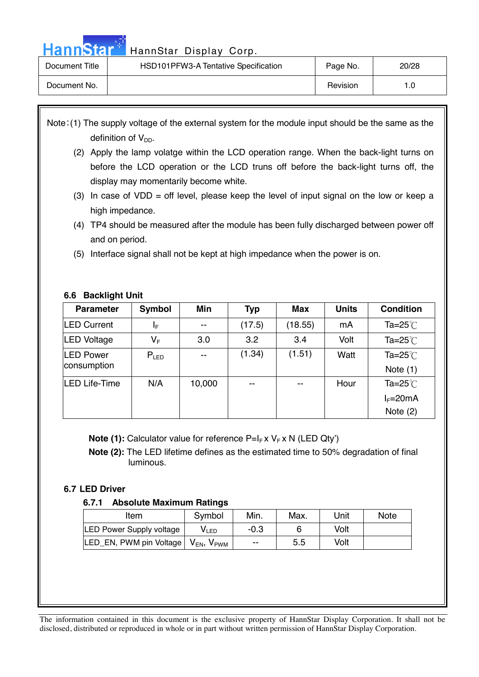## Hann Star<sup>t HannStar</sup> Display Corp.

| Document Title | HSD101PFW3-A Tentative Specification | Page No. | 20/28 |
|----------------|--------------------------------------|----------|-------|
| Document No.   |                                      | Revision |       |

Note: (1) The supply voltage of the external system for the module input should be the same as the definition of  $V_{DD}$ .

- (2) Apply the lamp volatge within the LCD operation range. When the back-light turns on before the LCD operation or the LCD truns off before the back-light turns off, the display may momentarily become white.
- (3) In case of  $VDD =$  off level, please keep the level of input signal on the low or keep a high impedance.
- (4) TP4 should be measured after the module has been fully discharged between power off and on period.
- (5) Interface signal shall not be kept at high impedance when the power is on.

### **6.6 Backlight Unit**

| <b>Parameter</b>                | Symbol    | Min    | Typ                      | Max     | <b>Units</b> | <b>Condition</b>                   |
|---------------------------------|-----------|--------|--------------------------|---------|--------------|------------------------------------|
| <b>LED Current</b>              | ΙF        | $- -$  | (17.5)                   | (18.55) | mA           | Ta= $25^{\circ}$ C                 |
| <b>LED Voltage</b>              | $V_F$     | 3.0    | 3.2                      | 3.4     | Volt         | Ta= $25^{\circ}$                   |
| <b>LED Power</b><br>consumption | $P_{LED}$ | $-$    | (1.34)                   | (1.51)  | Watt         | Ta= $25^{\circ}$ C<br>Note $(1)$   |
| LED Life-Time                   | N/A       | 10,000 | $\overline{\phantom{m}}$ | $- -$   | Hour         | Ta= $25^{\circ}$ C<br>$I_F = 20mA$ |
|                                 |           |        |                          |         |              | Note $(2)$                         |

**Note (1):** Calculator value for reference P=I<sub>F</sub> x V<sub>F</sub> x N (LED Qty')

 **Note (2):** The LED lifetime defines as the estimated time to 50% degradation of final luminous.

### **6.7 LED Driver**

### **6.7.1 Absolute Maximum Ratings**

| Item                            | Symbol                    | Min.   | Max. | Unit | Note |
|---------------------------------|---------------------------|--------|------|------|------|
| <b>LED Power Supply voltage</b> | V LED                     | $-0.3$ |      | Volt |      |
| LED EN, PWM pin Voltage         | $V_{EN}$<br>$V_{\rm PWM}$ | $- -$  | 5.5  | Volt |      |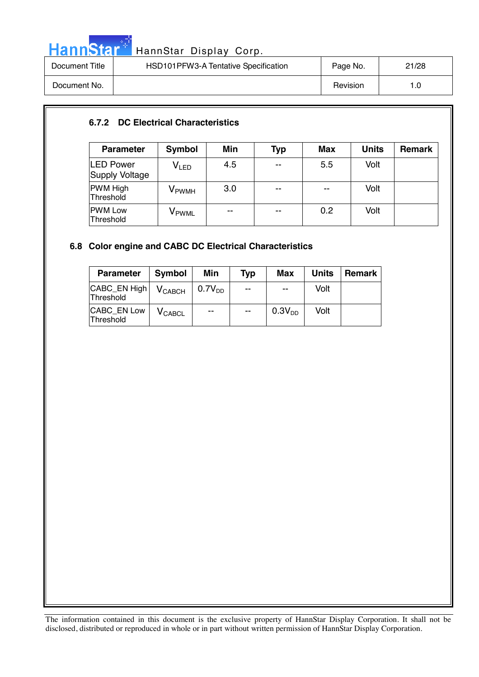

# HannStar<sup>t H</sup> HannStar Display Corp.

| Document Title | HSD101PFW3-A Tentative Specification | Page No. | 21/28 |
|----------------|--------------------------------------|----------|-------|
| Document No.   |                                      | Revision | 1.0   |

### **6.7.2 DC Electrical Characteristics**

| <b>Parameter</b>                   | Symbol                      | Min | Typ   | <b>Max</b> | <b>Units</b> | Remark |
|------------------------------------|-----------------------------|-----|-------|------------|--------------|--------|
| LED Power<br><b>Supply Voltage</b> | $\mathsf{V}_{\mathsf{LED}}$ | 4.5 | $- -$ | 5.5        | Volt         |        |
| <b>PWM High</b><br>Threshold       | V <sub>PWMH</sub>           | 3.0 | $- -$ | $-$        | Volt         |        |
| <b>PWM Low</b><br>Threshold        | V <sub>PWML</sub>           | $-$ | $- -$ | 0.2        | Volt         |        |

### **6.8 Color engine and CABC DC Electrical Characteristics**

| <b>Parameter</b>          | Symbol         | Min         | Typ                      | <b>Max</b>               | <b>Units</b> | <b>Remark</b> |
|---------------------------|----------------|-------------|--------------------------|--------------------------|--------------|---------------|
| CABC_EN High<br>Threshold | $V_{CABCH}$    | $0.7V_{DD}$ | --                       | $\overline{\phantom{a}}$ | Volt         |               |
| CABC_EN Low<br>Threshold  | <b>V</b> CABCL | $- -$       | $\overline{\phantom{a}}$ | 0.3V <sub>DD</sub>       | Volt         |               |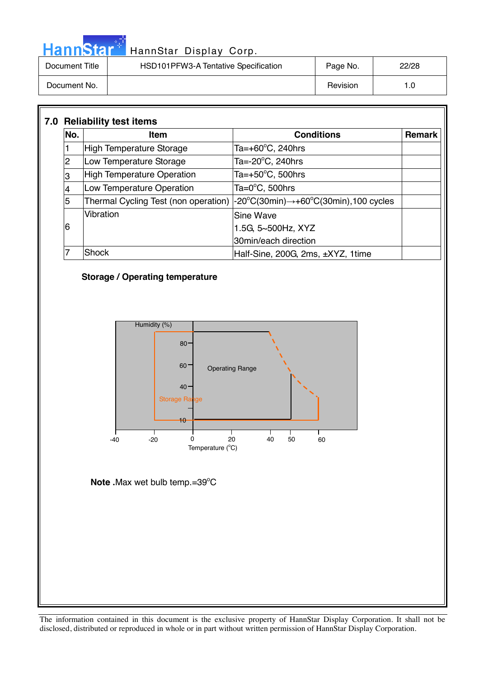|  |  | HannStar |  |
|--|--|----------|--|
|  |  |          |  |
|  |  |          |  |

### HannStar Display Corp.

| Document Title | HSD101PFW3-A Tentative Specification | Page No. | 22/28 |
|----------------|--------------------------------------|----------|-------|
| Document No.   |                                      | Revision |       |

| No.            | <b>Item</b>                       | <b>Conditions</b>                                                                                                      | <b>Remark</b> |
|----------------|-----------------------------------|------------------------------------------------------------------------------------------------------------------------|---------------|
|                | High Temperature Storage          | Ta=+60°C, 240hrs                                                                                                       |               |
| $\overline{2}$ | Low Temperature Storage           | Ta= $-20^{\circ}$ C, 240hrs                                                                                            |               |
| 3              | <b>High Temperature Operation</b> | Ta=+50 $^{\circ}$ C, 500hrs                                                                                            |               |
|                | Low Temperature Operation         | Ta= $0^{\circ}$ C, 500hrs                                                                                              |               |
| 5              |                                   | Thermal Cycling Test (non operation) $ -20^{\circ}C(30\text{min}) \rightarrow +60^{\circ}C(30\text{min})$ , 100 cycles |               |
|                | Vibration                         | <b>Sine Wave</b>                                                                                                       |               |
| 6              |                                   | 1.5G, 5~500Hz, XYZ                                                                                                     |               |
|                |                                   | 30min/each direction                                                                                                   |               |
|                | Shock                             | Half-Sine, 200G, 2ms, ±XYZ, 1time                                                                                      |               |

### **Storage / Operating temperature**



**Note . Max wet bulb temp.=39°C**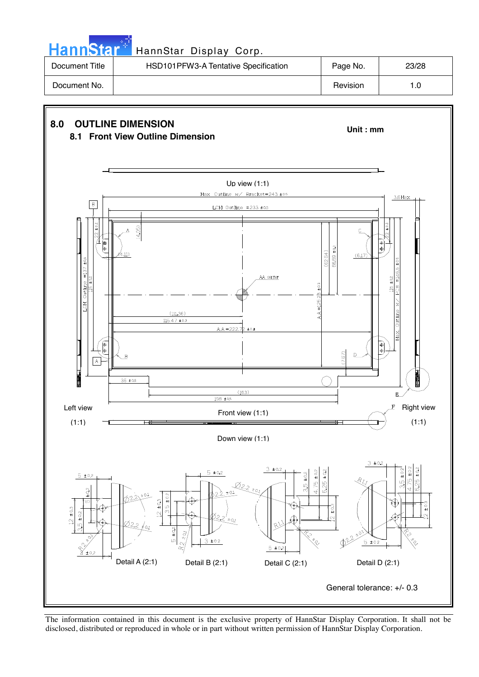| <b>HannStar</b> * | HannStar Display Corp.               |          |       |
|-------------------|--------------------------------------|----------|-------|
| Document Title    | HSD101PFW3-A Tentative Specification | Page No. | 23/28 |
| Document No.      |                                      | Revision | 1.0   |

n Ba



The information contained in this document is the exclusive property of HannStar Display Corporation. It shall not be disclosed, distributed or reproduced in whole or in part without written permission of HannStar Display Corporation.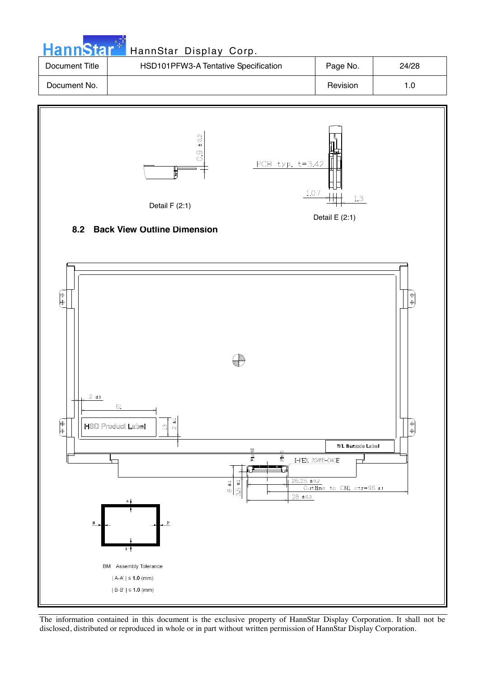|                | HannStar <sup>*</sup> HannStar Display Corp. |          |       |
|----------------|----------------------------------------------|----------|-------|
| Document Title | HSD101PFW3-A Tentative Specification         | Page No. | 24/28 |
| Document No.   |                                              | Revision | 1.0   |

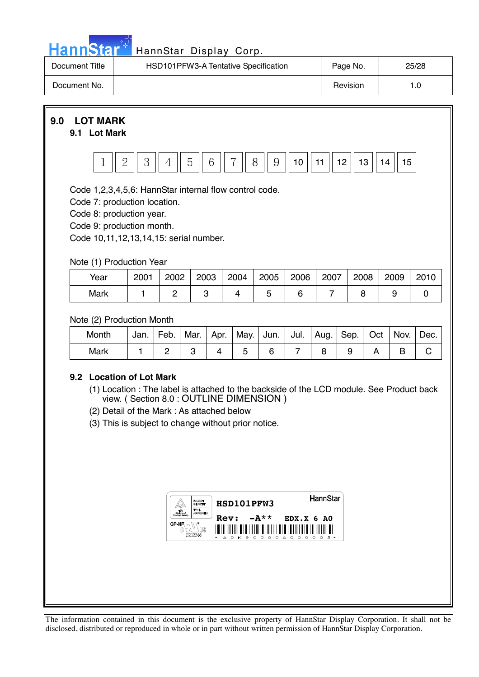|  | <u>ann<sup>,</sup></u> | . To i |  |
|--|------------------------|--------|--|

### HannStar Display Corp.

| Document Title | HSD101PFW3-A Tentative Specification | Page No. | 25/28 |
|----------------|--------------------------------------|----------|-------|
| Document No.   |                                      | Revision | 0. ا  |

**9.0 LOT MARK** 

### **9.1 Lot Mark**



Code 1,2,3,4,5,6: HannStar internal flow control code.

Code 7: production location.

Code 8: production year.

Code 9: production month.

Code 10,11,12,13,14,15: serial number.

### Note (1) Production Year

| Year | 2001 | 2002 | 2003 | 2004 | 2005 | 2006 | 2007 | 2008 | 2009 | 2010 |
|------|------|------|------|------|------|------|------|------|------|------|
| Mark |      |      |      |      |      |      |      |      |      |      |

### Note (2) Production Month

| Month | Jan. | Feb. | Mar. | Apr. |  | May.   Jun.   Jul.   Aug.   Sep. | Oct | $\vert$ Nov. | Dec. |
|-------|------|------|------|------|--|----------------------------------|-----|--------------|------|
| Mark  |      |      |      |      |  |                                  |     |              |      |

### **9.2 Location of Lot Mark**

- (1) Location : The label is attached to the backside of the LCD module. See Product back view. ( Section 8.0 : OUTLINE DIMENSION )
- (2) Detail of the Mark : As attached below
- (3) This is subject to change without prior notice.

| <b>BALLARATY</b><br><b>GREEKELIN</b><br>TWRE<br>10.<br><b><i>REFERENCE</i></b> | HannStar<br>HSD101PFW3                                                                                   |                                                           |
|--------------------------------------------------------------------------------|----------------------------------------------------------------------------------------------------------|-----------------------------------------------------------|
| GP-HF<br>uß<br>ſC,<br>E212246                                                  | $-A**$<br>Rev:<br>I<br>║<br>║<br>⊪<br>⊪<br>Ш<br>Ш<br>⊪<br>Ш<br>$\mathbb I$<br>0 K 9 C 0 0 0 A 0 0 0<br>× | $EDX.X$ 6 AO<br>I<br>∥<br>Ш<br>Ш<br>$\sim$<br>∩ −<br>л. н |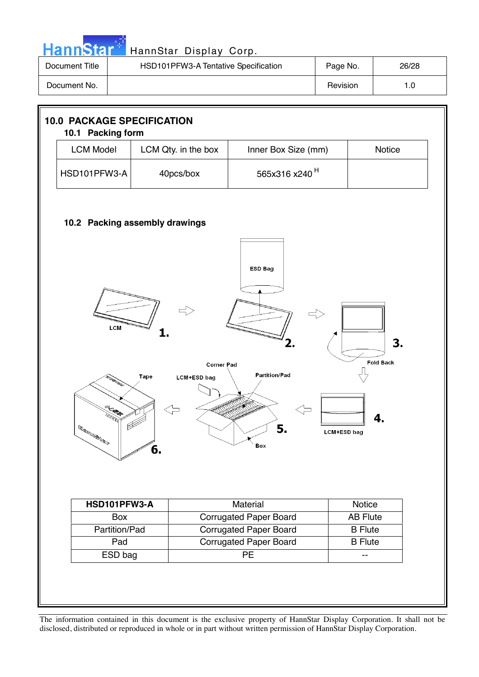

| Document Title | HSD101PFW3-A Tentative Specification | Page No. | 26/28 |
|----------------|--------------------------------------|----------|-------|
| Document No.   |                                      | Revision |       |

| <b>10.0 PACKAGE SPECIFICATION</b><br>10.1 Packing form                                                                                                                                                                                  |                     |                               |                 |  |  |
|-----------------------------------------------------------------------------------------------------------------------------------------------------------------------------------------------------------------------------------------|---------------------|-------------------------------|-----------------|--|--|
| <b>LCM Model</b>                                                                                                                                                                                                                        | LCM Qty. in the box | Inner Box Size (mm)           | Notice          |  |  |
| HSD101PFW3-A                                                                                                                                                                                                                            | 40pcs/box           | 565x316 x240 <sup>H</sup>     |                 |  |  |
| 10.2 Packing assembly drawings<br>ESD Bag<br>LCM<br>3.<br><b>Fold Back</b><br><b>Corner Pad</b><br><b>Partition/Pad</b><br>Tape<br>LCM+ESD bag<br>4<br>5.<br>$\mathbb{R}^{(F)} \in \mathbb{R}^{(F)}$<br><b>LCM+ESD bag</b><br>Box<br>6. |                     |                               |                 |  |  |
| HSD101PFW3-A                                                                                                                                                                                                                            |                     | Material                      | Notice          |  |  |
| Box                                                                                                                                                                                                                                     |                     | <b>Corrugated Paper Board</b> | <b>AB Flute</b> |  |  |
| Partition/Pad                                                                                                                                                                                                                           |                     | <b>Corrugated Paper Board</b> | <b>B</b> Flute  |  |  |
| Pad                                                                                                                                                                                                                                     |                     | <b>Corrugated Paper Board</b> | <b>B</b> Flute  |  |  |
| ESD bag                                                                                                                                                                                                                                 |                     | PE                            | $-$             |  |  |
|                                                                                                                                                                                                                                         |                     |                               |                 |  |  |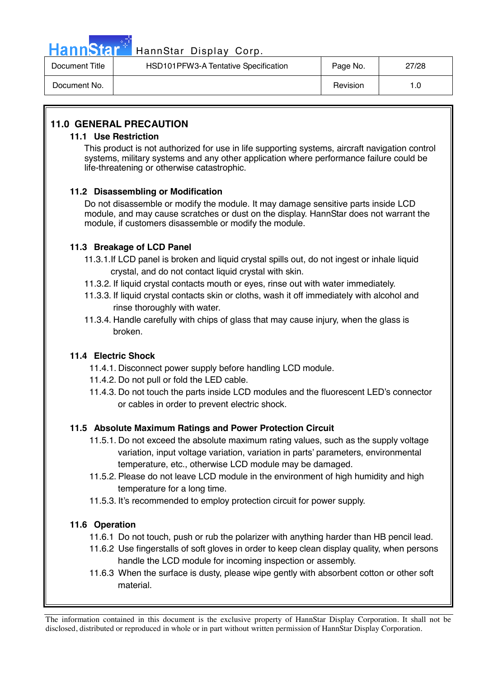

## HannStar<sup>47</sup> HannStar Display Corp.

| Document Title | HSD101PFW3-A Tentative Specification | Page No. | 27/28 |
|----------------|--------------------------------------|----------|-------|
| Document No.   |                                      | Revision | l.C   |

### **11.0 GENERAL PRECAUTION**

### **11.1 Use Restriction**

This product is not authorized for use in life supporting systems, aircraft navigation control systems, military systems and any other application where performance failure could be life-threatening or otherwise catastrophic.

### **11.2 Disassembling or Modification**

 Do not disassemble or modify the module. It may damage sensitive parts inside LCD module, and may cause scratches or dust on the display. HannStar does not warrant the module, if customers disassemble or modify the module.

### **11.3 Breakage of LCD Panel**

- 11.3.1.If LCD panel is broken and liquid crystal spills out, do not ingest or inhale liquid crystal, and do not contact liquid crystal with skin.
- 11.3.2. If liquid crystal contacts mouth or eyes, rinse out with water immediately.
- 11.3.3. If liquid crystal contacts skin or cloths, wash it off immediately with alcohol and rinse thoroughly with water.
- 11.3.4. Handle carefully with chips of glass that may cause injury, when the glass is broken.

### **11.4 Electric Shock**

- 11.4.1. Disconnect power supply before handling LCD module.
- 11.4.2. Do not pull or fold the LED cable.
- 11.4.3. Do not touch the parts inside LCD modules and the fluorescent LED's connector or cables in order to prevent electric shock.

### **11.5 Absolute Maximum Ratings and Power Protection Circuit**

- 11.5.1. Do not exceed the absolute maximum rating values, such as the supply voltage variation, input voltage variation, variation in parts' parameters, environmental temperature, etc., otherwise LCD module may be damaged.
- 11.5.2. Please do not leave LCD module in the environment of high humidity and high temperature for a long time.
- 11.5.3. It's recommended to employ protection circuit for power supply.

### **11.6 Operation**

- 11.6.1 Do not touch, push or rub the polarizer with anything harder than HB pencil lead.
- 11.6.2 Use fingerstalls of soft gloves in order to keep clean display quality, when persons handle the LCD module for incoming inspection or assembly.
- 11.6.3 When the surface is dusty, please wipe gently with absorbent cotton or other soft material.